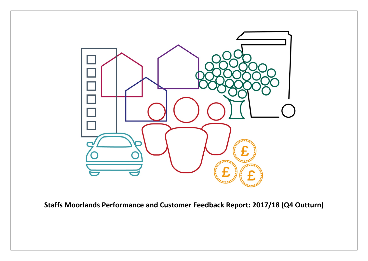

**Staffs Moorlands Performance and Customer Feedback Report: 2017/18 (Q4 Outturn)**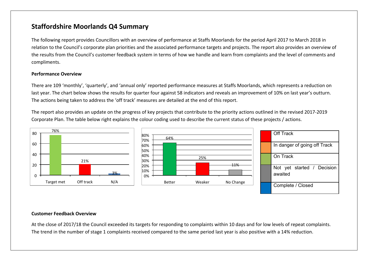## **Staffordshire Moorlands Q4 Summary**

The following report provides Councillors with an overview of performance at Staffs Moorlands for the period April 2017 to March 2018 in relation to the Council's corporate plan priorities and the associated performance targets and projects. The report also provides an overview of the results from the Council's customer feedback system in terms of how we handle and learn from complaints and the level of comments and compliments.

#### **Performance Overview**

There are 109 'monthly', 'quarterly', and 'annual only' reported performance measures at Staffs Moorlands, which represents a reduction on last year. The chart below shows the results for quarter four against 58 indicators and reveals an improvement of 10% on last year's outturn. The actions being taken to address the 'off track' measures are detailed at the end of this report.

The report also provides an update on the progress of key projects that contribute to the priority actions outlined in the revised 2017-2019 Corporate Plan. The table below right explains the colour coding used to describe the current status of these projects / actions.



#### **Customer Feedback Overview**

At the close of 2017/18 the Council exceeded its targets for responding to complaints within 10 days and for low levels of repeat complaints. The trend in the number of stage 1 complaints received compared to the same period last year is also positive with a 14% reduction.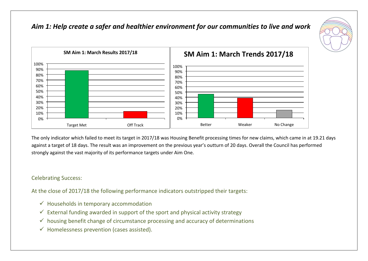





The only indicator which failed to meet its target in 2017/18 was Housing Benefit processing times for new claims, which came in at 19.21 days against a target of 18 days. The result was an improvement on the previous year's outturn of 20 days. Overall the Council has performed strongly against the vast majority of its performance targets under Aim One.

### Celebrating Success:

At the close of 2017/18 the following performance indicators outstripped their targets:

- $\checkmark$  Households in temporary accommodation
- $\checkmark$  External funding awarded in support of the sport and physical activity strategy
- $\checkmark$  housing benefit change of circumstance processing and accuracy of determinations
- $\checkmark$  Homelessness prevention (cases assisted).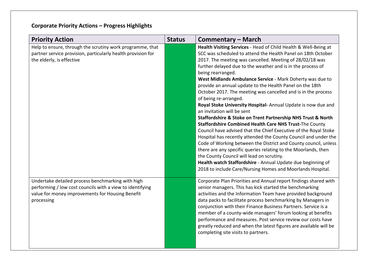| <b>Priority Action</b>                                                                                                                                                           | <b>Status</b> | <b>Commentary - March</b>                                                                                                                                                                                                                                                                                                                                                                                                                                                                                                                                                                                                                                                                                                                                                                                                                                                                                                                                                                                                                                                                                                                                                         |
|----------------------------------------------------------------------------------------------------------------------------------------------------------------------------------|---------------|-----------------------------------------------------------------------------------------------------------------------------------------------------------------------------------------------------------------------------------------------------------------------------------------------------------------------------------------------------------------------------------------------------------------------------------------------------------------------------------------------------------------------------------------------------------------------------------------------------------------------------------------------------------------------------------------------------------------------------------------------------------------------------------------------------------------------------------------------------------------------------------------------------------------------------------------------------------------------------------------------------------------------------------------------------------------------------------------------------------------------------------------------------------------------------------|
| Help to ensure, through the scrutiny work programme, that<br>partner service provision, particularly health provision for<br>the elderly, is effective                           |               | Health Visiting Services - Head of Child Health & Well-Being at<br>SCC was scheduled to attend the Health Panel on 18th October<br>2017. The meeting was cancelled. Meeting of 28/02/18 was<br>further delayed due to the weather and is in the process of<br>being rearranged.<br>West Midlands Ambulance Service - Mark Doherty was due to<br>provide an annual update to the Health Panel on the 18th<br>October 2017. The meeting was cancelled and is in the process<br>of being re-arranged.<br>Royal Stoke University Hospital-Annual Update is now due and<br>an invitation will be sent<br>Staffordshire & Stoke on Trent Partnership NHS Trust & North<br>Staffordshire Combined Health Care NHS Trust-The County<br>Council have advised that the Chief Executive of the Royal Stoke<br>Hospital has recently attended the County Council and under the<br>Code of Working between the District and County council, unless<br>there are any specific queries relating to the Moorlands, then<br>the County Council will lead on scrutiny.<br>Health watch Staffordshire - Annual Update due beginning of<br>2018 to include Care/Nursing Homes and Moorlands Hospital. |
| Undertake detailed process benchmarking with high<br>performing / low cost councils with a view to identifying<br>value for money improvements for Housing Benefit<br>processing |               | Corporate Plan Priorities and Annual report findings shared with<br>senior managers. This has kick started the benchmarking<br>activities and the Information Team have provided background<br>data packs to facilitate process benchmarking by Managers in<br>conjunction with their Finance Business Partners. Service is a<br>member of a county-wide managers' forum looking at benefits<br>performance and measures. Post service review our costs have<br>greatly reduced and when the latest figures are available will be<br>completing site visits to partners.                                                                                                                                                                                                                                                                                                                                                                                                                                                                                                                                                                                                          |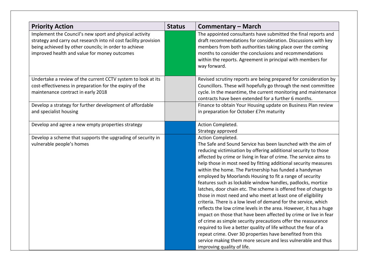| <b>Priority Action</b>                                                                                                                                                                                                               | <b>Status</b> | <b>Commentary – March</b>                                                                                                                                                                                                                                                                                                                                                                                                                                                                                                                                                                                                                                                                                                                                                                                                                                                                                                                                                                                                                                                                                                       |
|--------------------------------------------------------------------------------------------------------------------------------------------------------------------------------------------------------------------------------------|---------------|---------------------------------------------------------------------------------------------------------------------------------------------------------------------------------------------------------------------------------------------------------------------------------------------------------------------------------------------------------------------------------------------------------------------------------------------------------------------------------------------------------------------------------------------------------------------------------------------------------------------------------------------------------------------------------------------------------------------------------------------------------------------------------------------------------------------------------------------------------------------------------------------------------------------------------------------------------------------------------------------------------------------------------------------------------------------------------------------------------------------------------|
| Implement the Council's new sport and physical activity<br>strategy and carry out research into nil cost facility provision<br>being achieved by other councils; in order to achieve<br>improved health and value for money outcomes |               | The appointed consultants have submitted the final reports and<br>draft recommendations for consideration. Discussions with key<br>members from both authorities taking place over the coming<br>months to consider the conclusions and recommendations<br>within the reports. Agreement in principal with members for<br>way forward.                                                                                                                                                                                                                                                                                                                                                                                                                                                                                                                                                                                                                                                                                                                                                                                          |
| Undertake a review of the current CCTV system to look at its<br>cost-effectiveness in preparation for the expiry of the<br>maintenance contract in early 2018                                                                        |               | Revised scrutiny reports are being prepared for consideration by<br>Councillors. These will hopefully go through the next committee<br>cycle. In the meantime, the current monitoring and maintenance<br>contracts have been extended for a further 6 months.                                                                                                                                                                                                                                                                                                                                                                                                                                                                                                                                                                                                                                                                                                                                                                                                                                                                   |
| Develop a strategy for further development of affordable<br>and specialist housing                                                                                                                                                   |               | Finance to obtain Your Housing update on Business Plan review<br>in preparation for October £7m maturity                                                                                                                                                                                                                                                                                                                                                                                                                                                                                                                                                                                                                                                                                                                                                                                                                                                                                                                                                                                                                        |
| Develop and agree a new empty properties strategy                                                                                                                                                                                    |               | Action Completed.<br>Strategy approved                                                                                                                                                                                                                                                                                                                                                                                                                                                                                                                                                                                                                                                                                                                                                                                                                                                                                                                                                                                                                                                                                          |
| Develop a scheme that supports the upgrading of security in<br>vulnerable people's homes                                                                                                                                             |               | Action Completed.<br>The Safe and Sound Service has been launched with the aim of<br>reducing victimisation by offering additional security to those<br>affected by crime or living in fear of crime. The service aims to<br>help those in most need by fitting additional security measures<br>within the home. The Partnership has funded a handyman<br>employed by Moorlands Housing to fit a range of security<br>features such as lockable window handles, padlocks, mortice<br>latches, door chain etc. The scheme is offered free of charge to<br>those in most need and who meet at least one of eligibility<br>criteria. There is a low level of demand for the service, which<br>reflects the low crime levels in the area. However, it has a huge<br>impact on those that have been affected by crime or live in fear<br>of crime as simple security precautions offer the reassurance<br>required to live a better quality of life without the fear of a<br>repeat crime. Over 30 properties have benefited from this<br>service making them more secure and less vulnerable and thus<br>improving quality of life. |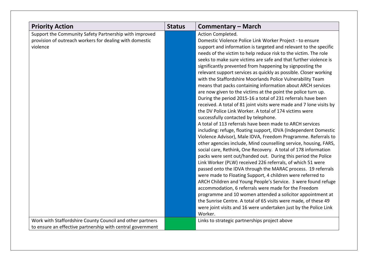| <b>Priority Action</b>                                                                                                        | <b>Status</b> | <b>Commentary – March</b>                                                                                                                                                                                                                                                                                                                                                                                                                                                                                                                                                                                                                                                                                                                                                                                                                                                                                                                                                                                                                                                                                                                                                                                                                                                                                                                                                                                                                                                                                                                                                                                                                                                                                                                                                                         |
|-------------------------------------------------------------------------------------------------------------------------------|---------------|---------------------------------------------------------------------------------------------------------------------------------------------------------------------------------------------------------------------------------------------------------------------------------------------------------------------------------------------------------------------------------------------------------------------------------------------------------------------------------------------------------------------------------------------------------------------------------------------------------------------------------------------------------------------------------------------------------------------------------------------------------------------------------------------------------------------------------------------------------------------------------------------------------------------------------------------------------------------------------------------------------------------------------------------------------------------------------------------------------------------------------------------------------------------------------------------------------------------------------------------------------------------------------------------------------------------------------------------------------------------------------------------------------------------------------------------------------------------------------------------------------------------------------------------------------------------------------------------------------------------------------------------------------------------------------------------------------------------------------------------------------------------------------------------------|
| Support the Community Safety Partnership with improved<br>provision of outreach workers for dealing with domestic<br>violence |               | Action Completed.<br>Domestic Violence Police Link Worker Project - to ensure<br>support and information is targeted and relevant to the specific<br>needs of the victim to help reduce risk to the victim. The role<br>seeks to make sure victims are safe and that further violence is<br>significantly prevented from happening by signposting the<br>relevant support services as quickly as possible. Closer working<br>with the Staffordshire Moorlands Police Vulnerability Team<br>means that packs containing information about ARCH services<br>are now given to the victims at the point the police turn up.<br>During the period 2015-16 a total of 231 referrals have been<br>received. A total of 81 joint visits were made and 7 lone visits by<br>the DV Police Link Worker. A total of 174 victims were<br>successfully contacted by telephone.<br>A total of 113 referrals have been made to ARCH services<br>including: refuge, floating support, IDVA (Independent Domestic<br>Violence Advisor), Male IDVA, Freedom Programme. Referrals to<br>other agencies include, Mind counselling service, housing, FARS,<br>social care, Rethink, One Recovery. A total of 178 information<br>packs were sent out/handed out. During this period the Police<br>Link Worker (PLW) received 226 referrals, of which 51 were<br>passed onto the IDVA through the MARAC process. 19 referrals<br>were made to Floating Support, 4 children were referred to<br>ARCH Children and Young People's Service. 3 were found refuge<br>accommodation, 6 referrals were made for the Freedom<br>programme and 10 women attended a solicitor appointment at<br>the Sunrise Centre. A total of 65 visits were made, of these 49<br>were joint visits and 16 were undertaken just by the Police Link |
| Work with Staffordshire County Council and other partners                                                                     |               | Worker.<br>Links to strategic partnerships project above                                                                                                                                                                                                                                                                                                                                                                                                                                                                                                                                                                                                                                                                                                                                                                                                                                                                                                                                                                                                                                                                                                                                                                                                                                                                                                                                                                                                                                                                                                                                                                                                                                                                                                                                          |
| to ensure an effective partnership with central government                                                                    |               |                                                                                                                                                                                                                                                                                                                                                                                                                                                                                                                                                                                                                                                                                                                                                                                                                                                                                                                                                                                                                                                                                                                                                                                                                                                                                                                                                                                                                                                                                                                                                                                                                                                                                                                                                                                                   |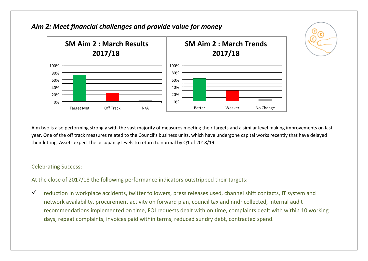

*Aim 2: Meet financial challenges and provide value for money*

Aim two is also performing strongly with the vast majority of measures meeting their targets and a similar level making improvements on last year. One of the off track measures related to the Council's business units, which have undergone capital works recently that have delayed their letting. Assets expect the occupancy levels to return to normal by Q1 of 2018/19.

### Celebrating Success:

At the close of 2017/18 the following performance indicators outstripped their targets:

 $\checkmark$  reduction in workplace accidents, twitter followers, press releases used, channel shift contacts, IT system and network availability, procurement activity on forward plan, council tax and nndr collected, internal audit recommendations implemented on time, FOI requests dealt with on time, complaints dealt with within 10 working days, repeat complaints, invoices paid within terms, reduced sundry debt, contracted spend.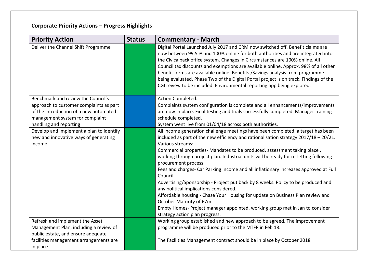| <b>Priority Action</b>                   | <b>Status</b> | <b>Commentary - March</b>                                                                                                                                                                                                                                                                                                                                                                                                                                                                                                                                                                     |
|------------------------------------------|---------------|-----------------------------------------------------------------------------------------------------------------------------------------------------------------------------------------------------------------------------------------------------------------------------------------------------------------------------------------------------------------------------------------------------------------------------------------------------------------------------------------------------------------------------------------------------------------------------------------------|
| Deliver the Channel Shift Programme      |               | Digital Portal Launched July 2017 and CRM now switched off. Benefit claims are<br>now between 99.5 % and 100% online for both authorities and are integrated into<br>the Civica back office system. Changes in Circumstances are 100% online. All<br>Council tax discounts and exemptions are available online. Approx. 98% of all other<br>benefit forms are available online. Benefits / Savings analysis from programme<br>being evaluated. Phase Two of the Digital Portal project is on track. Findings of the<br>CGI review to be included. Environmental reporting app being explored. |
| Benchmark and review the Council's       |               | Action Completed.                                                                                                                                                                                                                                                                                                                                                                                                                                                                                                                                                                             |
| approach to customer complaints as part  |               | Complaints system configuration is complete and all enhancements/improvements                                                                                                                                                                                                                                                                                                                                                                                                                                                                                                                 |
| of the introduction of a new automated   |               | are now in place. Final testing and trials successfully completed. Manager training                                                                                                                                                                                                                                                                                                                                                                                                                                                                                                           |
| management system for complaint          |               | schedule completed.                                                                                                                                                                                                                                                                                                                                                                                                                                                                                                                                                                           |
| handling and reporting                   |               | System went live from 01/04/18 across both authorities.                                                                                                                                                                                                                                                                                                                                                                                                                                                                                                                                       |
| Develop and implement a plan to identify |               | All income generation challenge meetings have been completed, a target has been                                                                                                                                                                                                                                                                                                                                                                                                                                                                                                               |
| new and innovative ways of generating    |               | included as part of the new efficiency and rationalisation strategy 2017/18 - 20/21.                                                                                                                                                                                                                                                                                                                                                                                                                                                                                                          |
| income                                   |               | Various streams:                                                                                                                                                                                                                                                                                                                                                                                                                                                                                                                                                                              |
|                                          |               | Commercial properties- Mandates to be produced, assessment taking place,<br>working through project plan. Industrial units will be ready for re-letting following<br>procurement process.                                                                                                                                                                                                                                                                                                                                                                                                     |
|                                          |               | Fees and charges- Car Parking income and all inflationary increases approved at Full<br>Council.                                                                                                                                                                                                                                                                                                                                                                                                                                                                                              |
|                                          |               | Advertising/Sponsorship - Project put back by 8 weeks. Policy to be produced and<br>any political implications considered.                                                                                                                                                                                                                                                                                                                                                                                                                                                                    |
|                                          |               | Affordable housing - Chase Your Housing for update on Business Plan review and<br>October Maturity of £7m                                                                                                                                                                                                                                                                                                                                                                                                                                                                                     |
|                                          |               | Empty Homes- Project manager appointed, working group met in Jan to consider                                                                                                                                                                                                                                                                                                                                                                                                                                                                                                                  |
|                                          |               | strategy action plan progress.                                                                                                                                                                                                                                                                                                                                                                                                                                                                                                                                                                |
| Refresh and implement the Asset          |               | Working group established and new approach to be agreed. The improvement                                                                                                                                                                                                                                                                                                                                                                                                                                                                                                                      |
| Management Plan, including a review of   |               | programme will be produced prior to the MTFP in Feb 18.                                                                                                                                                                                                                                                                                                                                                                                                                                                                                                                                       |
| public estate, and ensure adequate       |               |                                                                                                                                                                                                                                                                                                                                                                                                                                                                                                                                                                                               |
| facilities management arrangements are   |               | The Facilities Management contract should be in place by October 2018.                                                                                                                                                                                                                                                                                                                                                                                                                                                                                                                        |
| in place                                 |               |                                                                                                                                                                                                                                                                                                                                                                                                                                                                                                                                                                                               |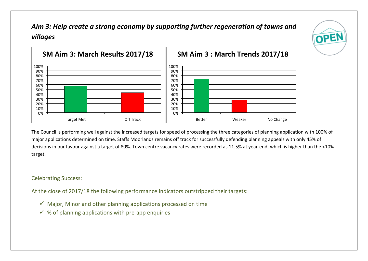*Aim 3: Help create a strong economy by supporting further regeneration of towns and villages* 

OPEN



The Council is performing well against the increased targets for speed of processing the three categories of planning application with 100% of major applications determined on time. Staffs Moorlands remains off track for successfully defending planning appeals with only 45% of decisions in our favour against a target of 80%. Town centre vacancy rates were recorded as 11.5% at year-end, which is higher than the <10% target.

### Celebrating Success:

At the close of 2017/18 the following performance indicators outstripped their targets:

- $\checkmark$  Major, Minor and other planning applications processed on time
- $\checkmark$  % of planning applications with pre-app enquiries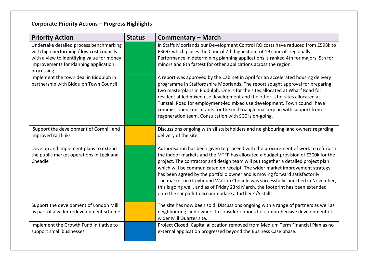| <b>Priority Action</b>                                                                                                                                                                   | <b>Status</b> | <b>Commentary – March</b>                                                                                                                                                                                                                                                                                                                                                                                                                                                                                                                                                                                                                                   |
|------------------------------------------------------------------------------------------------------------------------------------------------------------------------------------------|---------------|-------------------------------------------------------------------------------------------------------------------------------------------------------------------------------------------------------------------------------------------------------------------------------------------------------------------------------------------------------------------------------------------------------------------------------------------------------------------------------------------------------------------------------------------------------------------------------------------------------------------------------------------------------------|
| Undertake detailed process benchmarking<br>with high performing / low cost councils<br>with a view to identifying value for money<br>improvements for Planning application<br>processing |               | In Staffs Moorlands our Development Control RO costs have reduced from £598k to<br>£369k which places the Council 7th highest out of 19 councils regionally.<br>Performance in determining planning applications is ranked 4th for majors, 5th for<br>minors and 8th fastest for other applications across the region.                                                                                                                                                                                                                                                                                                                                      |
| Implement the town deal in Biddulph in<br>partnership with Biddulph Town Council                                                                                                         |               | A report was approved by the Cabinet in April for an accelerated housing delivery<br>programme in Staffordshire Moorlands. The report sought approval for preparing<br>two masterplans in Biddulph. One is for the sites allocated at Wharf Road for<br>residential-led mixed use development and the other is for sites allocated at<br>Tunstall Road for employment-led mixed use development. Town council have<br>commissioned consultants for the mill triangle masterplan with support from<br>regeneration team. Consultation with SCC is on-going.                                                                                                  |
| Support the development of Cornhill and<br>improved rail links                                                                                                                           |               | Discussions ongoing with all stakeholders and neighbouring land owners regarding<br>delivery of the site.                                                                                                                                                                                                                                                                                                                                                                                                                                                                                                                                                   |
| Develop and implement plans to extend<br>the public market operations in Leek and<br>Cheadle                                                                                             |               | Authorisation has been given to proceed with the procurement of work to refurbish<br>the indoor markets and the MTFP has allocated a budget provision of £300k for the<br>project. The contractor and design team will put together a detailed project plan<br>which will be communicated on receipt. The wider market improvement strategy<br>has been agreed by the portfolio owner and is moving forward satisfactorily.<br>The market on Greyhound Walk in Cheadle was successfully launched in November,<br>this is going well, and as of Friday 23rd March, the footprint has been extended<br>onto the car park to accommodate a further 4/5 stalls. |
| Support the development of London Mill<br>as part of a wider redevelopment scheme                                                                                                        |               | The site has now been sold. Discussions ongoing with a range of partners as well as<br>neighbouring land owners to consider options for comprehensive development of<br>wider Mill Quarter site.                                                                                                                                                                                                                                                                                                                                                                                                                                                            |
| Implement the Growth Fund initiative to<br>support small businesses                                                                                                                      |               | Project Closed. Capital allocation removed from Medium Term Financial Plan as no<br>external application progressed beyond the Business Case phase.                                                                                                                                                                                                                                                                                                                                                                                                                                                                                                         |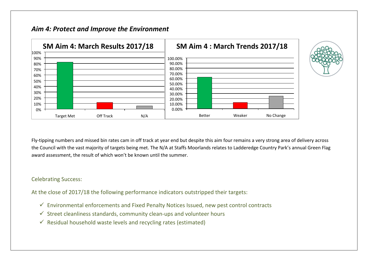### *Aim 4: Protect and Improve the Environment*



Fly-tipping numbers and missed bin rates cam in off track at year end but despite this aim four remains a very strong area of delivery across the Council with the vast majority of targets being met. The N/A at Staffs Moorlands relates to Ladderedge Country Park's annual Green Flag award assessment, the result of which won't be known until the summer.

#### Celebrating Success:

At the close of 2017/18 the following performance indicators outstripped their targets:

- $\checkmark$  Environmental enforcements and Fixed Penalty Notices Issued, new pest control contracts
- $\checkmark$  Street cleanliness standards, community clean-ups and volunteer hours
- $\checkmark$  Residual household waste levels and recycling rates (estimated)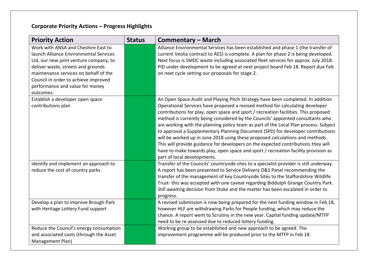| <b>Priority Action</b>                                                                                                                                                                                                                                                                         | <b>Status</b> | <b>Commentary – March</b>                                                                                                                                                                                                                                                                                                                                                                                                                                                                                                                                                                                                                                                                                                                                                                                        |
|------------------------------------------------------------------------------------------------------------------------------------------------------------------------------------------------------------------------------------------------------------------------------------------------|---------------|------------------------------------------------------------------------------------------------------------------------------------------------------------------------------------------------------------------------------------------------------------------------------------------------------------------------------------------------------------------------------------------------------------------------------------------------------------------------------------------------------------------------------------------------------------------------------------------------------------------------------------------------------------------------------------------------------------------------------------------------------------------------------------------------------------------|
| Work with ANSA and Cheshire East to<br>launch Alliance Environmental Services<br>Ltd, our new joint venture company, to<br>deliver waste, streets and grounds<br>maintenance services on behalf of the<br>Council in order to achieve improved<br>performance and value for money<br>outcomes. |               | Alliance Environmental Services has been established and phase 1 (the transfer of<br>current Veolia contract to AES) is complete. A plan for phase 2 is being developed.<br>Next focus is SMDC waste including associated fleet services for approx. July 2018.<br>PID under development to be agreed at next project board Feb 18. Report due Feb<br>on next cycle setting our proposals for stage 2.                                                                                                                                                                                                                                                                                                                                                                                                           |
| Establish a developer open space<br>contributions plan                                                                                                                                                                                                                                         |               | An Open Space Audit and Playing Pitch Strategy have been completed. In addition<br>Operational Services have proposed a revised method for calculating developer<br>contributions for play, open space and sport / recreation facilities. This proposed<br>method is currently being considered by the Councils' appointed consultants who<br>are working with the planning policy team as part of the Local Plan process. Subject<br>to approval a Supplementary Planning Document (SPD) for developer contributions<br>will be worked up in June 2018 using these proposed calculations and methods.<br>This will provide guidance for developers on the expected contributions they will<br>have to make towards play, open space and sport / recreation facility provision as<br>part of local developments. |
| Identify and implement an approach to<br>reduce the cost of country parks                                                                                                                                                                                                                      |               | Transfer of the Councils' countryside sites to a specialist provider is still underway.<br>A report has been presented to Service Delivery O&S Panel recommending the<br>transfer of the management of key Countryside Sites to the Staffordshire Wildlife<br>Trust-this was accepted with one caveat regarding Biddulph Grange Country Park.<br>Still awaiting decision from Stoke and the matter has been escalated in order to<br>progress.                                                                                                                                                                                                                                                                                                                                                                   |
| Develop a plan to improve Brough Park<br>with Heritage Lottery Fund support                                                                                                                                                                                                                    |               | A revised submission is now being prepared for the next funding window in Feb 18,<br>however HLF are withdrawing Parks for People funding, which may reduce the<br>chance. A report went to Scrutiny in the new year. Capital funding update/MTFP<br>need to be re-assessed due to reduced lottery funding.                                                                                                                                                                                                                                                                                                                                                                                                                                                                                                      |
| Reduce the Council's energy consumption<br>and associated costs (through the Asset<br>Management Plan)                                                                                                                                                                                         |               | Working group to be established and new approach to be agreed. The<br>improvement programme will be produced prior to the MTFP in Feb 18.                                                                                                                                                                                                                                                                                                                                                                                                                                                                                                                                                                                                                                                                        |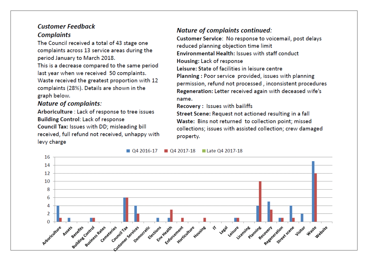### **Customer Feedback Complaints**

The Council received a total of 43 stage one complaints across 13 service areas during the period January to March 2018.

This is a decrease compared to the same period last year when we received 50 complaints. Waste received the greatest proportion with 12 complaints (28%). Details are shown in the graph below.

### **Nature of complaints:**

Arboriculture : Lack of response to tree issues **Building Control: Lack of response** Council Tax: Issues with DD; misleading bill received, full refund not received, unhappy with levy charge

## **Nature of complaints continued:**

Customer Service: No response to voicemail, post delays reduced planning objection time limit **Environmental Health: Issues with staff conduct** Housing: Lack of response Leisure: State of facilities in leisure centre Planning: Poor service provided, issues with planning permission, refund not processed, inconsistent procedures Regeneration: Letter received again with deceased wife's name.

Recovery: Issues with bailiffs

Street Scene: Request not actioned resulting in a fall Waste: Bins not returned to collection point; missed collections; issues with assisted collection; crew damaged property.



 $\Box$  Q4 2016-17 04 2017-18 Late 04 2017-18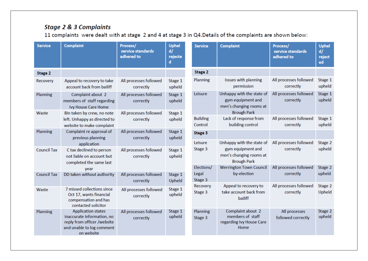## **Stage 2 & 3 Complaints**

11 complaints were dealt with at stage 2 and 4 at stage 3 in Q4.Details of the complaints are shown below:

| <b>Service</b>     | <b>Complaint</b>                                                                                                                  | Process/<br>service standards<br>adhered to | <b>Uphel</b><br>d/<br>rejecte<br>d |                             | <b>Service</b>             | <b>Complaint</b>                                                                                | Process/<br>service standards<br>adhered to | <b>Uphel</b><br>d/<br>reject<br>ed |
|--------------------|-----------------------------------------------------------------------------------------------------------------------------------|---------------------------------------------|------------------------------------|-----------------------------|----------------------------|-------------------------------------------------------------------------------------------------|---------------------------------------------|------------------------------------|
| Stage 2            |                                                                                                                                   |                                             |                                    |                             | Stage 2                    |                                                                                                 |                                             |                                    |
| Recovery           | Appeal to recovery to take<br>account back from bailiff                                                                           | All processes followed<br>correctly         | Stage 1<br>upheld                  |                             | Planning                   | Issues with planning<br>permission                                                              | All processes followed<br>correctly         | Stage 1<br>upheld                  |
| Planning           | Complaint about 2<br>members of staff regarding<br>Ivy House Care Home                                                            | All processes followed<br>correctly         | Stage 1<br>upheld                  |                             | Leisure                    | Unhappy with the state of<br>gym equipment and<br>men's changing rooms at<br><b>Brough Park</b> | All processes followed<br>correctly         | Stage 1<br>upheld                  |
| Waste              | Bin taken by crew, no note<br>left. Unhappy as directed to<br>website to make complaint                                           | All processes followed<br>correctly         | Stage 1<br>upheld                  |                             | <b>Building</b><br>Control | Lack of response from<br>building control                                                       | All processes followed<br>correctly         | Stage 1<br>upheld                  |
| Planning           | Complaint re approval of<br>previous planning                                                                                     | All processes followed<br>correctly         | Stage 1<br>upheld                  |                             | Stage 3                    |                                                                                                 |                                             |                                    |
| <b>Council Tax</b> | application<br>C tax declined to person<br>not liable on account but<br>completed the same last                                   | All processes followed<br>correctly         | Stage 1<br>upheld                  |                             | Leisure<br>Stage 3         | Unhappy with the state of<br>gym equipment and<br>men's changing rooms at<br><b>Brough Park</b> | All processes followed<br>correctly         | Stage 2<br>upheld                  |
|                    | year                                                                                                                              |                                             |                                    |                             | Elections/                 | <b>Werrington Town Council</b>                                                                  | All processes followed                      | Stage 2                            |
| <b>Council Tax</b> | DD taken without authority                                                                                                        | All processes followed<br>correctly         | Upheld                             | Legal<br>Stage 1<br>Stage 3 |                            | by-election                                                                                     | correctly                                   | upheld                             |
| Waste              | 7 missed collections since<br>Oct 17, wants financial<br>compensation and has<br>contacted solicitor                              | All processes followed<br>correctly         | Stage 1<br>upheld                  |                             | Recovery<br>Stage 3        | Appeal to recovery to<br>take account back from<br>bailiff                                      | All processes followed<br>correctly         | Stage 2<br>Upheld                  |
| Planning           | <b>Application states</b><br>inaccurate information, no<br>reply from officer /website<br>and unable to log comment<br>on website | All processes followed<br>correctly         | Stage 1<br>upheld                  |                             | Planning<br>Stage 3        | Complaint about 2<br>members of staff<br>regarding Ivy House Care<br>Home                       | All processes<br>followed correctly         | Stage 2<br>upheld                  |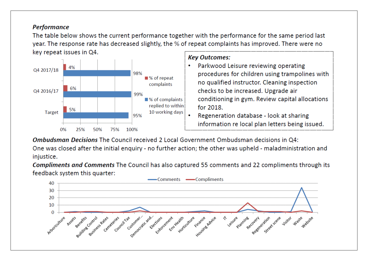### **Performance**

The table below shows the current performance together with the performance for the same period last year. The response rate has decreased slightly, the % of repeat complaints has improved. There were no key repeat issues in Q4.



## **Kev Outcomes:**

- Parkwood Leisure reviewing operating procedures for children using trampolines with no qualified instructor. Cleaning inspection checks to be increased. Upgrade air conditioning in gym. Review capital allocations for 2018.
- Regeneration database look at sharing information re local plan letters being issued.

Ombudsman Decisions The Council received 2 Local Government Ombudsman decisions in O4:

One was closed after the initial enguiry - no further action; the other was upheld - maladministration and iniustice.

**Compliments and Comments The Council has also captured 55 comments and 22 compliments through its** feedback system this quarter:

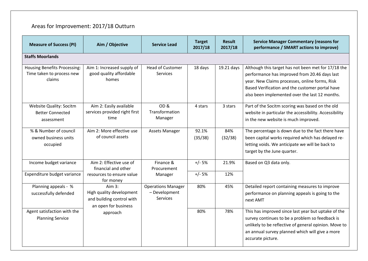# Areas for Improvement: 2017/18 Outturn

| <b>Measure of Success (PI)</b>                                             | Aim / Objective                                                                           | <b>Service Lead</b>                                           | <b>Target</b><br>2017/18 | <b>Result</b><br>2017/18 | <b>Service Manager Commentary (reasons for</b><br>performance / SMART actions to improve)                                                                                                                                                                   |  |
|----------------------------------------------------------------------------|-------------------------------------------------------------------------------------------|---------------------------------------------------------------|--------------------------|--------------------------|-------------------------------------------------------------------------------------------------------------------------------------------------------------------------------------------------------------------------------------------------------------|--|
| <b>Staffs Moorlands</b>                                                    |                                                                                           |                                                               |                          |                          |                                                                                                                                                                                                                                                             |  |
| <b>Housing Benefits Processing:</b><br>Time taken to process new<br>claims | Aim 1: Increased supply of<br>good quality affordable<br>homes                            | <b>Head of Customer</b><br><b>Services</b>                    | 18 days                  | 19.21 days               | Although this target has not been met for 17/18 the<br>performance has improved from 20.46 days last<br>year. New Claims processes, online forms, Risk<br>Based Verification and the customer portal have<br>also been implemented over the last 12 months. |  |
| <b>Website Quality: Socitm</b><br><b>Better Connected</b><br>assessment    | Aim 2: Easily available<br>services provided right first<br>time                          | OD <sub>&amp;</sub><br>Transformation<br>Manager              | 4 stars                  | 3 stars                  | Part of the Socitm scoring was based on the old<br>website in particular the accessibility. Accessibility<br>in the new website is much improved.                                                                                                           |  |
| % & Number of council<br>owned business units<br>occupied                  | Aim 2: More effective use<br>of council assets                                            | Assets Manager                                                | 92.1%<br>(35/38)         | 84%<br>(32/38)           | The percentage is down due to the fact there have<br>been capital works required which has delayed re-<br>letting voids. We anticipate we will be back to<br>target by the June quarter.                                                                    |  |
| Income budget variance                                                     | Aim 2: Effective use of<br>financial and other                                            | Finance &<br>Procurement                                      | $+/- 5%$                 | 21.9%                    | Based on Q3 data only.                                                                                                                                                                                                                                      |  |
| Expenditure budget variance                                                | resources to ensure value<br>for money                                                    | Manager                                                       | $+/- 5%$                 | 12%                      |                                                                                                                                                                                                                                                             |  |
| Planning appeals - %<br>successfully defended                              | Aim $3:$<br>High quality development<br>and building control with<br>an open for business | <b>Operations Manager</b><br>- Development<br><b>Services</b> | 80%                      | 45%                      | Detailed report containing measures to improve<br>performance on planning appeals is going to the<br>next AMT                                                                                                                                               |  |
| Agent satisfaction with the<br><b>Planning Service</b>                     | approach                                                                                  |                                                               | 80%                      | 78%                      | This has improved since last year but uptake of the<br>survey continues to be a problem so feedback is<br>unlikely to be reflective of general opinion. Move to<br>an annual survey planned which will give a more<br>accurate picture.                     |  |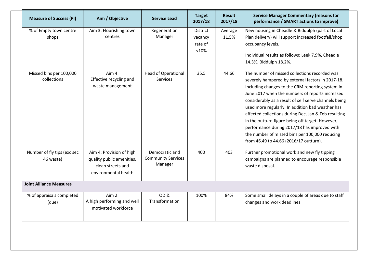| <b>Measure of Success (PI)</b>           | Aim / Objective                                                                                    | <b>Service Lead</b>                                    | <b>Target</b><br>2017/18                       | <b>Result</b><br>2017/18 | <b>Service Manager Commentary (reasons for</b><br>performance / SMART actions to improve)                                                                                                                                                                                                                                                                                                                                                                                                                                                                                      |
|------------------------------------------|----------------------------------------------------------------------------------------------------|--------------------------------------------------------|------------------------------------------------|--------------------------|--------------------------------------------------------------------------------------------------------------------------------------------------------------------------------------------------------------------------------------------------------------------------------------------------------------------------------------------------------------------------------------------------------------------------------------------------------------------------------------------------------------------------------------------------------------------------------|
| % of Empty town centre<br>shops          | Aim 3: Flourishing town<br>centres                                                                 | Regeneration<br>Manager                                | <b>District</b><br>vacancy<br>rate of<br>< 10% | Average<br>11.5%         | New housing in Cheadle & Biddulph (part of Local<br>Plan delivery) will support increased footfall/shop<br>occupancy levels.<br>Individual results as follows: Leek 7.9%, Cheadle<br>14.3%, Biddulph 18.2%.                                                                                                                                                                                                                                                                                                                                                                    |
| Missed bins per 100,000<br>collections   | Aim 4:<br>Effective recycling and<br>waste management                                              | <b>Head of Operational</b><br><b>Services</b>          | 35.5                                           | 44.66                    | The number of missed collections recorded was<br>severely hampered by external factors in 2017-18.<br>Including changes to the CRM reporting system in<br>June 2017 when the numbers of reports increased<br>considerably as a result of self serve channels being<br>used more regularly. In addition bad weather has<br>affected collections during Dec, Jan & Feb resulting<br>in the outturn figure being off target. However,<br>performance during 2017/18 has improved with<br>the number of missed bins per 100,000 reducing<br>from 46.49 to 44.66 (2016/17 outturn). |
| Number of fly tips (exc sec<br>46 waste) | Aim 4: Provision of high<br>quality public amenities,<br>clean streets and<br>environmental health | Democratic and<br><b>Community Services</b><br>Manager | 400                                            | 403                      | Further promotional work and new fly tipping<br>campaigns are planned to encourage responsible<br>waste disposal.                                                                                                                                                                                                                                                                                                                                                                                                                                                              |
| <b>Joint Alliance Measures</b>           |                                                                                                    |                                                        |                                                |                          |                                                                                                                                                                                                                                                                                                                                                                                                                                                                                                                                                                                |
| % of appraisals completed<br>(due)       | Aim 2:<br>A high performing and well<br>motivated workforce                                        | OD&<br>Transformation                                  | 100%                                           | 84%                      | Some small delays in a couple of areas due to staff<br>changes and work deadlines.                                                                                                                                                                                                                                                                                                                                                                                                                                                                                             |